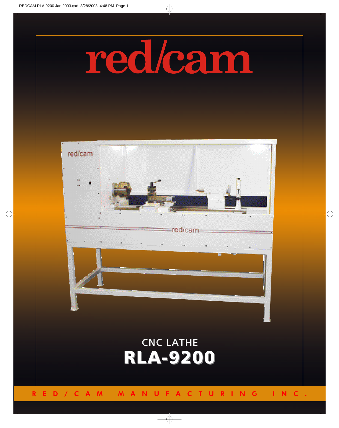## redlcam